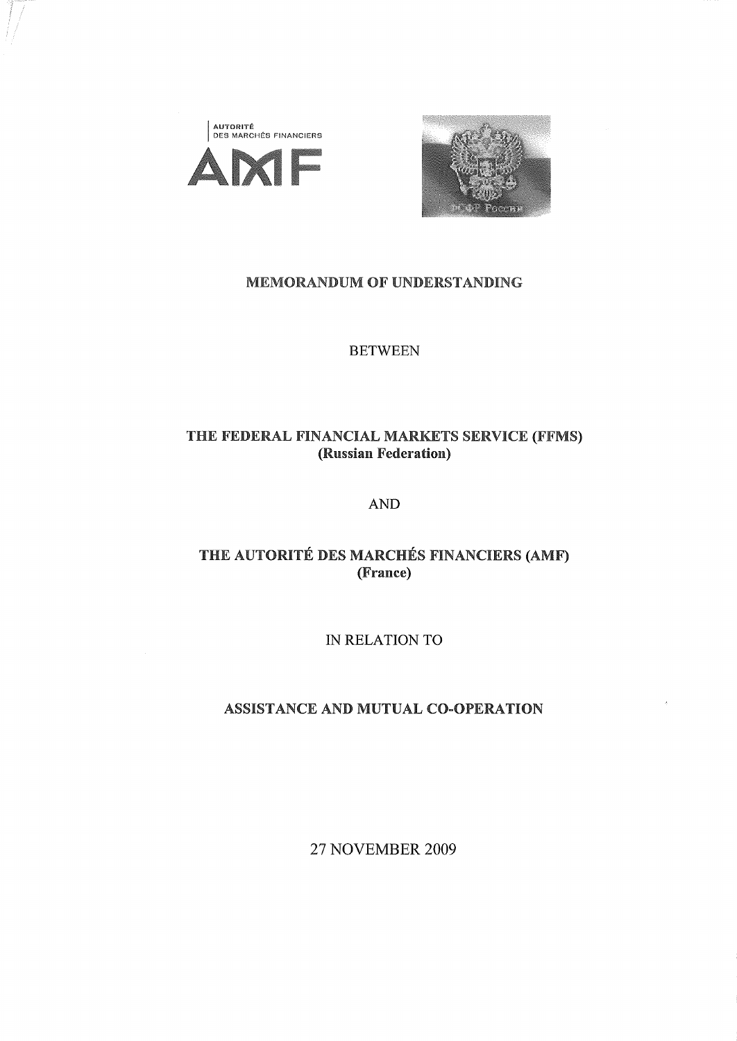



### MEMORANDUM OF UNDERSTANDING

**BETWEEN**

# THE FEDERAL FINANCIAL MARKETS SERVICE (FFMS) (Russian Federation)

**AND**

# THE AUTORITÉ DES MARCHÉS FINANCIERS (AMF) (France)

**IN RELATION TO**

# ASSISTANCE AND MUTUAL CO-OPERATION

27 **NOVEMBER 2009**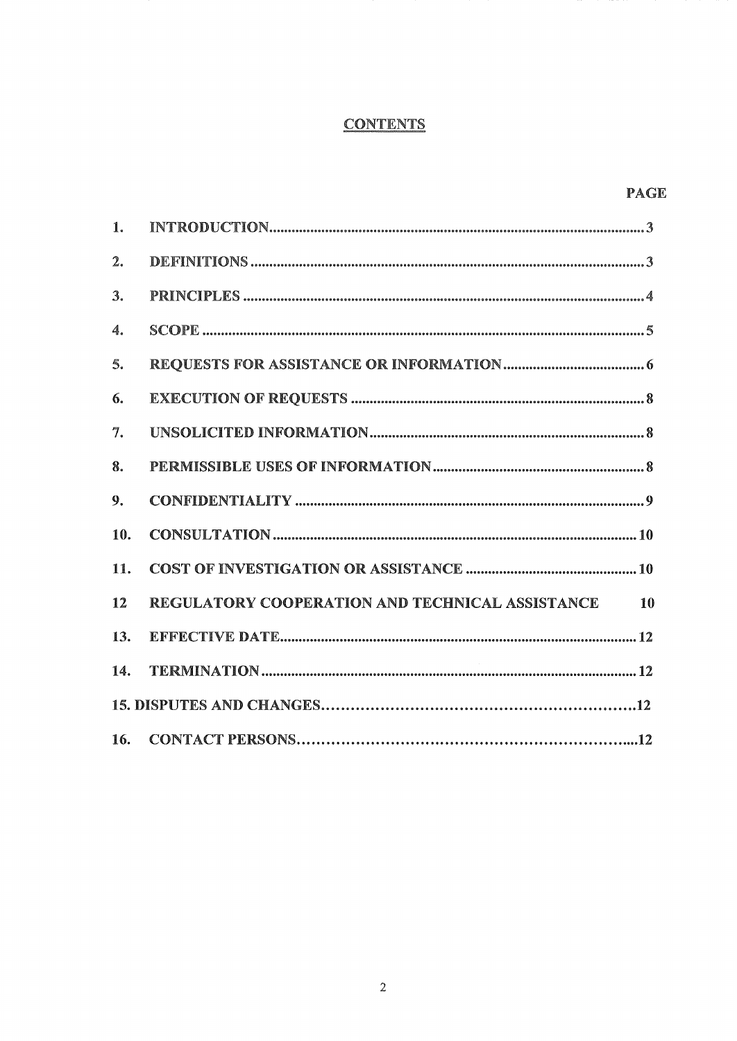# **CONTENTS**

| 1.             |                                                       |
|----------------|-------------------------------------------------------|
| $\mathbf{2}$ . |                                                       |
| 3.             |                                                       |
| 4.             |                                                       |
| 5.             |                                                       |
| 6.             |                                                       |
| 7.             |                                                       |
| 8.             |                                                       |
| 9.             |                                                       |
| 10.            |                                                       |
| 11.            |                                                       |
| 12             | REGULATORY COOPERATION AND TECHNICAL ASSISTANCE<br>10 |
| 13.            |                                                       |
| 14.            |                                                       |
|                |                                                       |
|                |                                                       |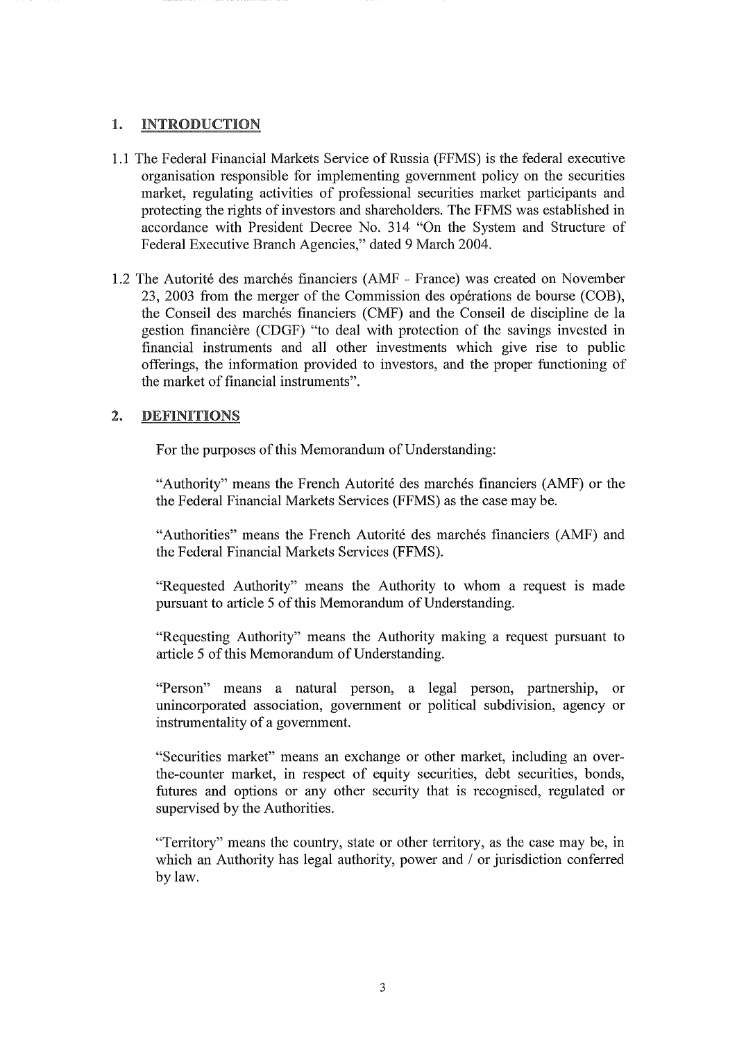### 1. INTRODUCTION

- 1.1 The Federal Financial Markets Service of Russia (FFMS) is the federal executive organisation responsible for implementing government policy on the securities market, regulating activities of professional securities market participants and protecting the rights of investors and shareholders. The FFMS was established in accordance with President Decree No. 314 "On the System and Structure of Federal Executive Branch Agencies," dated 9 March 2004.
- 1.2 The Autorité des marchés financiers (AMF France) was created on November 23, 2003 from the merger of the Commission des opérations de bourse (COB), the Conseil des marchés financiers (CMF) and the Conseil de discipline de la gestion financière (CDGF) "to deal with protection of the savings invested in financial instruments and all other investments which give rise to public offerings, the information provided to investors, and the proper functioning of the market of financial instruments".

### 2. DEFINITIONS

For the purposes of this Memorandum of Understanding:

"Authority" means the French Autorité des marchés financiers (AMF) or the the Federal Financial Markets Services (FFMS) as the case may be.

"Authorities" means the French Autorité des marchés financiers (AMF) and the Federal Financial Markets Services (FFMS).

"Requested Authority" means the Authority to whom a request is made pursuant to article 5 of this Memorandum of Understanding.

"Requesting Authority" means the Authority making a request pursuant to article 5 of this Memorandum of Understanding.

"Person" means a natural person, a legal person, partnership, or unincorporated association, government or political subdivision, agency or instrumentality of a government.

"Securities market" means an exchange or other market, including an overthe-counter market, in respect of equity securities, debt securities, bonds, futures and options or any other security that is recognised, regulated or supervised by the Authorities.

"Territory" means the country, state or other territory, as the case may be, in which an Authority has legal authority, power and / or jurisdiction conferred by law.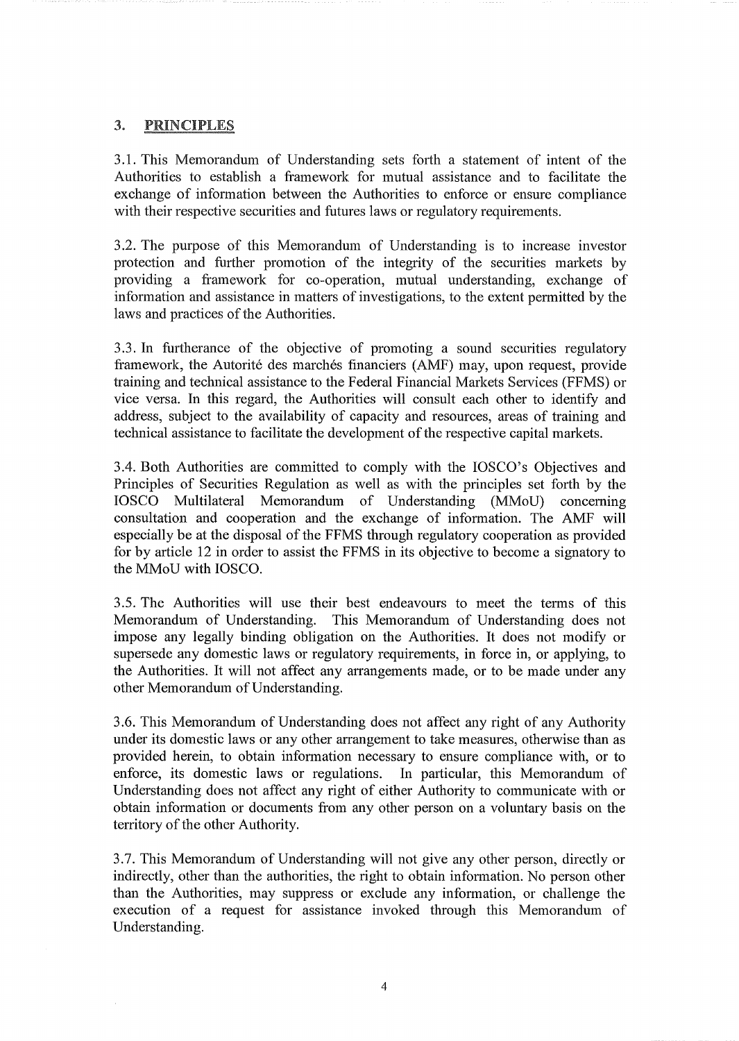## 3. PRINCIPLES

3.1. This Memorandum of Understanding sets forth a statement of intent of the Authorities to establish a framework for mutual assistance and to facilitate the exchange of information between the Authorities to enforce or ensure compliance with their respective securities and futures laws or regulatory requirements.

3.2. The purpose of this Memorandum of Understanding is to increase investor protection and further promotion of the integrity of the securities markets by providing a framework for co-operation, mutual understanding, exchange of information and assistance in matters of investigations, to the extent permitted by the laws and practices of the Authorities.

3.3. In furtherance of the objective of promoting a sound securities regulatory framework, the Autorité des marchés financiers (AMF) may, upon request, provide training and technical assistance to the Federal Financial Markets Services (FFMS) or vice versa. In this regard, the Authorities will consult each other to identify and address, subject to the availability of capacity and resources, areas of training and technical assistance to facilitate the development of the respective capital markets.

3.4. Both Authorities are committed to comply with the IOSCO's Objectives and Principles of Securities Regulation as well as with the principles set forth by the IOSCO Multilateral Memorandum of Understanding (MMoU) concerning consultation and cooperation and the exchange of information. The AMF will especially be at the disposal of the FFMS through regulatory cooperation as provided for by article 12 in order to assist the FFMS in its objective to become a signatory to the MMoU with IOSCO.

3.5. The Authorities will use their best endeavours to meet the terms of this Memorandum of Understanding. This Memorandum of Understanding does not impose any legally binding obligation on the Authorities. It does not modify or supersede any domestic laws or regulatory requirements, in force in, or applying, to the Authorities. It will not affect any arrangements made, or to be made under any other Memorandum of Understanding.

3.6. This Memorandum of Understanding does not affect any right of any Authority under its domestic laws or any other arrangement to take measures, otherwise than as provided herein, to obtain information necessary to ensure compliance with, or to enforce, its domestic laws or regulations. In particular, this Memorandum of Understanding does not affect any right of either Authority to communicate with or obtain information or documents from any other person on a voluntary basis on the territory of the other Authority.

3.7. This Memorandum of Understanding will not give any other person, directly or indirectly, other than the authorities, the right to obtain information, No person other than the Authorities, may suppress or exclude any information, or challenge the execution of a request for assistance invoked through this Memorandum of Understanding.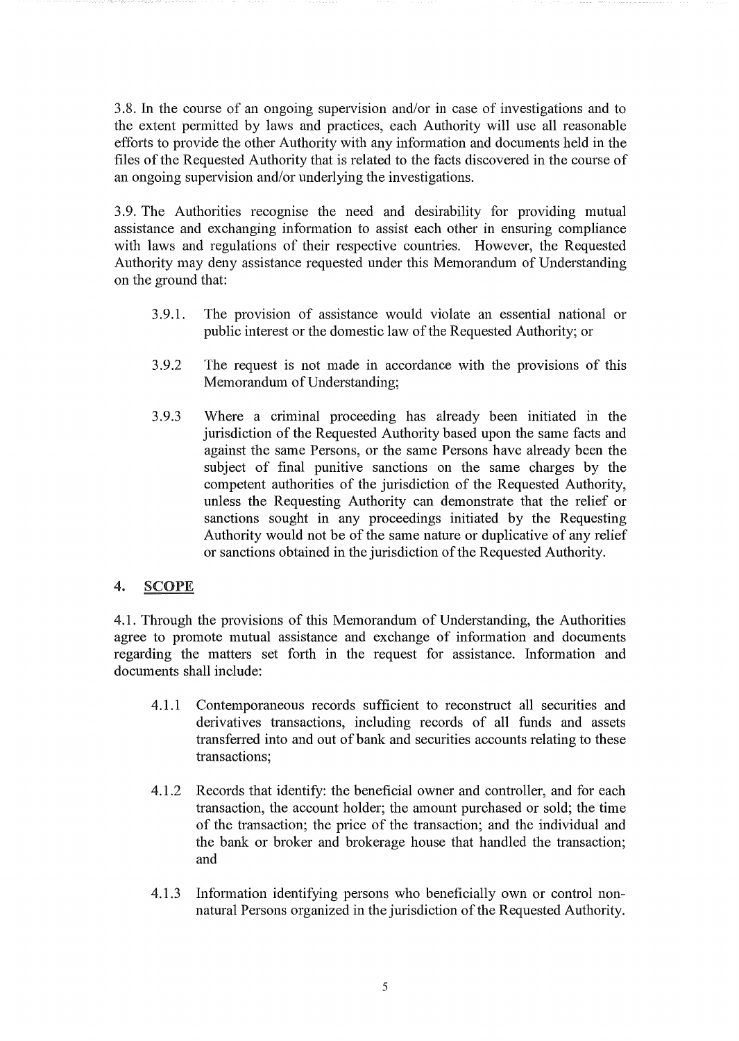3.8. In the course of an ongoing supervision and/or in case of investigations and to the extent permitted by laws and practices, each Authority will use all reasonable efforts to provide the other Authority with any information and documents held in the files of the Requested Authority that is related to the facts discovered in the course of an ongoing supervision and/or underlying the investigations.

3.9. The Authorities recognise the need and desirability for providing mutual assistance and exchanging information to assist each other in ensuring compliance with laws and regulations of their respective countries. However, the Requested Authority may deny assistance requested under this Memorandum of Understanding on the ground that:

- 3.9.1. The provision of assistance would violate an essential national or public interest or the domestic law of the Requested Authority; or
- 3.9.2 The request is not made in accordance with the provisions of this Memorandum of Understanding;
- 3.9.3 Where a criminal proceeding has already been initiated in the jurisdiction of the Requested Authority based upon the same facts and against the same Persons, or the same Persons have already been the subject of final punitive sanctions on the same charges by the competent authorities of the jurisdiction of the Requested Authority, unless the Requesting Authority can demonstrate that the relief or sanctions sought in any proceedings initiated by the Requesting Authority would not be of the same nature or duplicative of any relief or sanctions obtained in the jurisdiction of the Requested Authority.

### 4. SCOPE

4.1. Through the provisions of this Memorandum of Understanding, the Authorities agree to promote mutual assistance and exchange of information and documents regarding the matters set forth in the request for assistance. Information and documents shall include:

- 4.1.1 Contemporaneous records sufficient to reconstruct all securities and derivatives transactions, including records of all funds and assets transferred into and out of bank and securities accounts relating to these transactions;
- 4.1.2 Records that identify: the beneficial owner and controller, and for each transaction, the account holder; the amount purchased or sold; the time of the transaction; the price of the transaction; and the individual and the bank or broker and brokerage house that handled the transaction; and
- 4.1.3 Information identifying persons who beneficially own or control nonnatural Persons organized in the jurisdiction of the Requested Authority.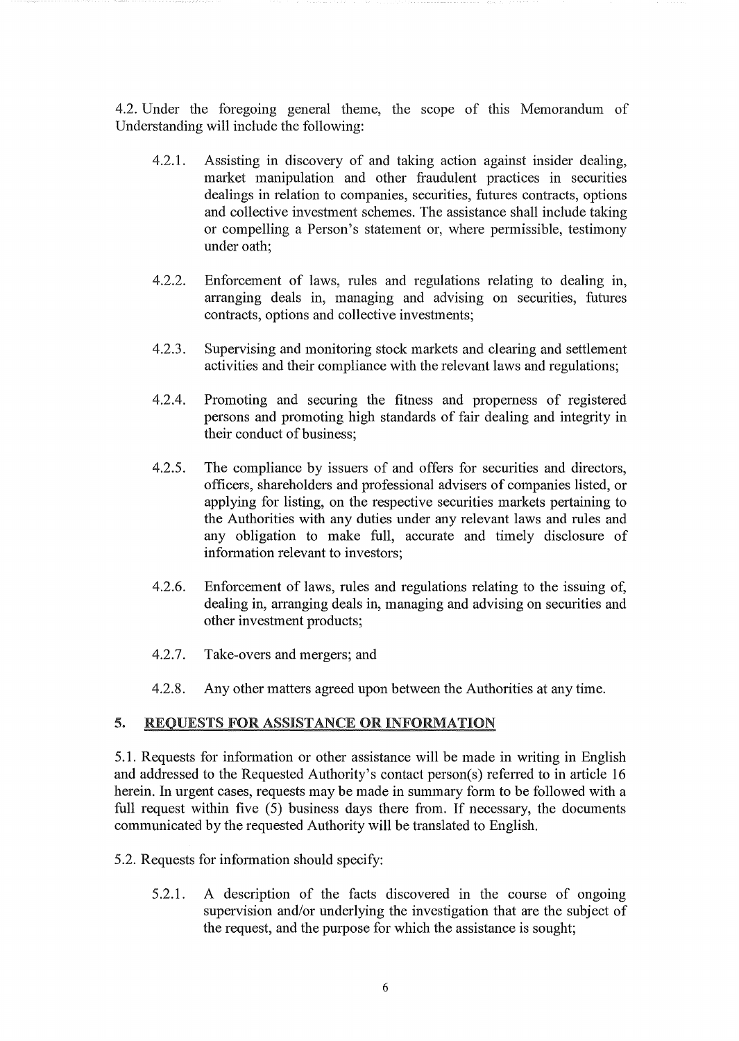4.2. Under the foregoing general theme, the scope of this Memorandum of Understanding will include the following:

- 4.2.1. Assisting in discovery of and taking action against insider dealing, market manipulation and other fraudulent practices in securities dealings in relation to companies, securities, futures contracts, options and collective investment schemes. The assistance shall include taking or compelling a Person's statement or, where permissible, testimony under oath;
- 4.2.2. Enforcement of laws, rules and regulations relating to dealing in, arranging deals in, managing and advising on securities, futures contracts, options and collective investments;
- 4.2.3. Supervising and monitoring stock markets and clearing and settlement activities and their compliance with the relevant laws and regulations;
- 4.2.4. Promoting and securing the fitness and properness of registered persons and promoting high standards of fair dealing and integrity in their conduct of business:
- 4.2.5. The compliance by issuers of and offers for securities and directors, officers, shareholders and professional advisers of companies listed, or applying for listing, on the respective securities markets pertaining to the Authorities with any duties under any relevant laws and rules and any obligation to make full, accurate and timely disclosure of information relevant to investors;
- 4.2.6. Enforcement of laws, rules and regulations relating to the issuing of, dealing in, arranging deals in, managing and advising on securities and other investment products;
- 4.2.7. Take-overs and mergers; and
- 4.2.8. Any other matters agreed upon between the Authorities at any time.

### 5. REQUESTS FOR ASSISTANCE OR INFORMATION

5.1. Requests for information or other assistance will be made in writing in English and addressed to the Requested Authority's contact person(s) referred to in article 16 herein. In urgent cases, requests may be made in summary form to be followed with a full request within five (5) business days there from. If necessary, the documents communicated by the requested Authority will be translated to English.

- 5.2. Requests for information should specify:
	- 5.2.1. A description of the facts discovered in the course of ongoing supervision and/or underlying the investigation that are the subject of the request, and the purpose for which the assistance is sought;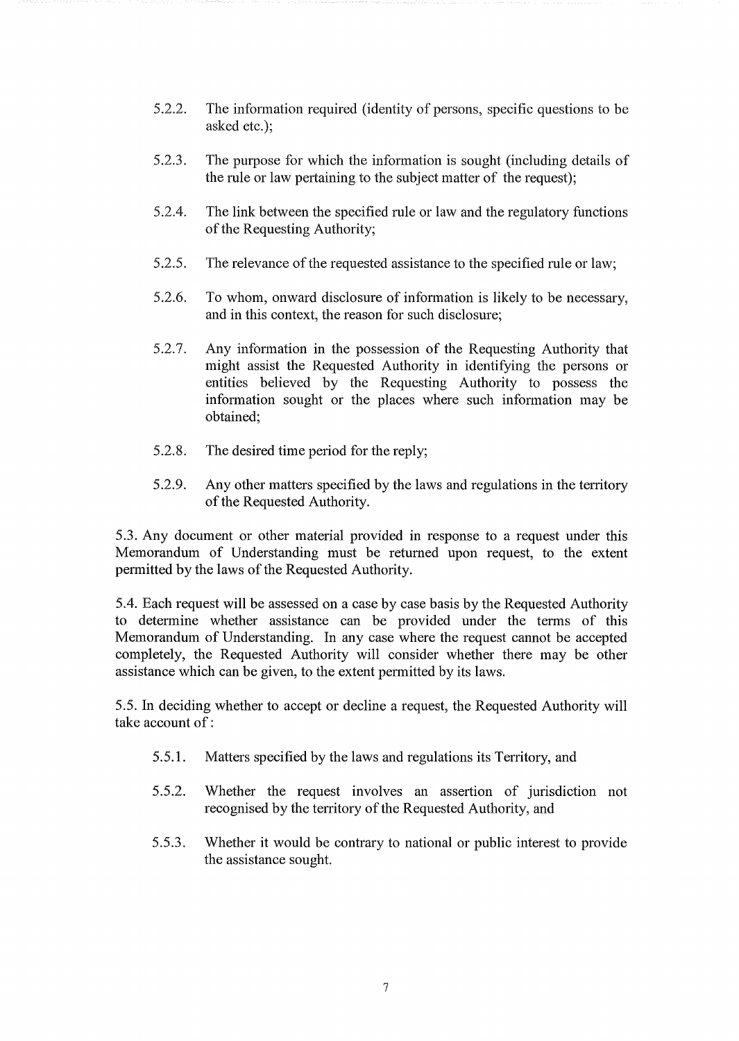- 5.2.2. The information required (identity of persons, specific questions to be asked etc.);
- 5.2.3. The purpose for which the information is sought (including details of the rule or law pertaining to the subject matter of the request);
- 5.2.4. The link between the specified rule or law and the regulatory functions of the Requesting Authority;
- 5.2.5. The relevance of the requested assistance to the specified rule or law;
- 5.2.6. To whom, onward disclosure of information is likely to be necessary, and in this context, the reason for such disclosure;
- 5.2.7. Any information in the possession of the Requesting Authority that might assist the Requested Authority in identifying the persons or entities believed by the Requesting Authority to possess the information sought or the places where such information may be obtained;
- 5.2.8. The desired time period for the reply;
- 5.2.9. Any other matters specified by the laws and regulations in the territory of the Requested Authority.

5.3. Any document or other material provided in response to a request under this Memorandum of Understanding must be returned upon request, to the extent permitted by the laws of the Requested Authority.

5.4. Each request will be assessed on a case by case basis by the Requested Authority to determine whether assistance can be provided under the terms of this Memorandum of Understanding. In any case where the request cannot be accepted completely, the Requested Authority will consider whether there may be other assistance which can be given, to the extent permitted by its laws.

5.5. In deciding whether to accept or decline a request, the Requested Authority will take account of:

- 5.5.1. Matters specified by the laws and regulations its Territory, and
- 5.5.2. Whether the request involves an assertion of jurisdiction not recognised by the territory of the Requested Authority, and
- 5.5.3. Whether it would be contrary to national or public interest to provide the assistance sought.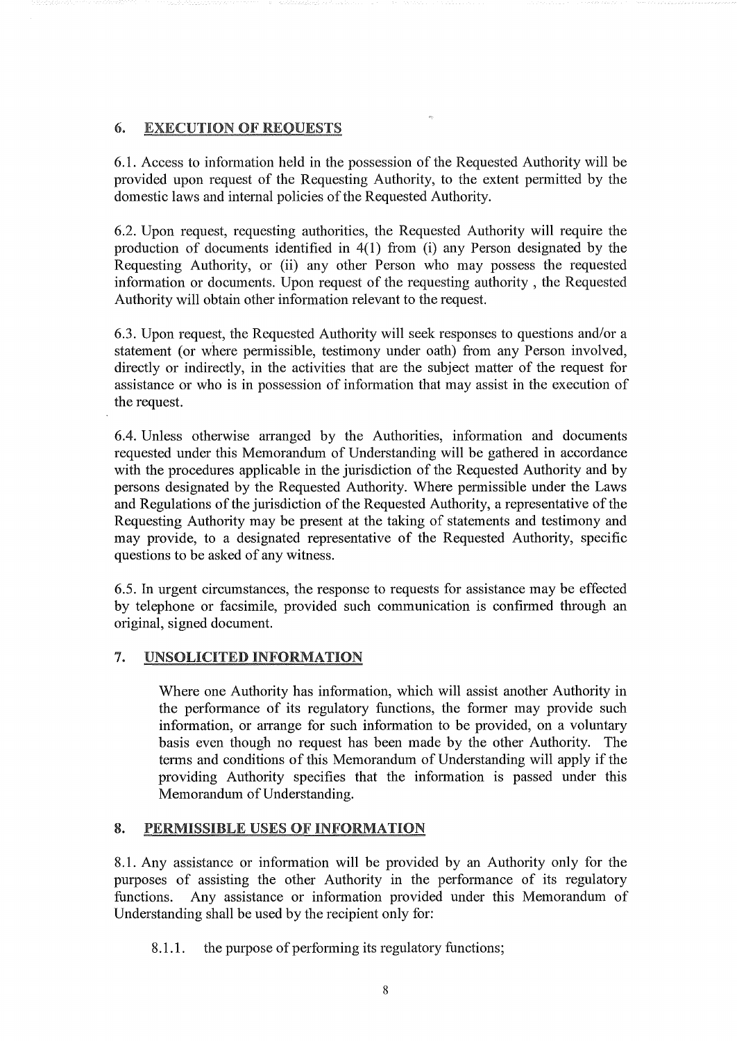# 6. EXECUTION OF REQUESTS

6.1. Access to information held in the possession of the Requested Authority will be provided upon request of the Requesting Authority, to the extent permitted by the domestic laws and internal policies of the Requested Authority.

6.2. Upon request, requesting authorities, the Requested Authority will require the production of documents identified in 4(1) from (i) any Person designated by the Requesting Authority, or (ii) any other Person who may possess the requested information or documents. Upon request of the requesting authority , the Requested Authority will obtain other information relevant to the request.

6.3. Upon request, the Requested Authority will seek responses to questions and/or a statement (or where permissible, testimony under oath) from any Person involved, directly or indirectly, in the activities that are the subject matter of the request for assistance or who is in possession of information that may assist in the execution of the request.

6.4. Unless otherwise arranged by the Authorities, information and documents requested under this Memorandum of Understanding will be gathered in accordance with the procedures applicable in the jurisdiction of the Requested Authority and by persons designated by the Requested Authority. Where permissible under the Laws and Regulations of the jurisdiction of the Requested Authority, a representative of the Requesting Authority may be present at the taking of statements and testimony and may provide, to a designated representative of the Requested Authority, specific questions to be asked of any witness.

6.5. In urgent circumstances, the response to requests for assistance may be effected by telephone or facsimile, provided such communication is confirmed through an original, signed document.

# 7. UNSOLICITED INFORMATION

Where one Authority has information, which will assist another Authority in the performance of its regulatory functions, the former may provide such information, or arrange for such information to be provided, on a voluntary basis even though no request has been made by the other Authority. The terms and conditions of this Memorandum of Understanding will apply if the providing Authority specifies that the information is passed under this Memorandum of Understanding.

### 8. PERMISSIBLE USES OF INFORMATION

8.1. Any assistance or information will be provided by an Authority only for the purposes of assisting the other Authority in the performance of its regulatory functions. Any assistance or information provided under this Memorandum of Understanding shall be used by the recipient only for:

8.1.1. the purpose of performing its regulatory functions;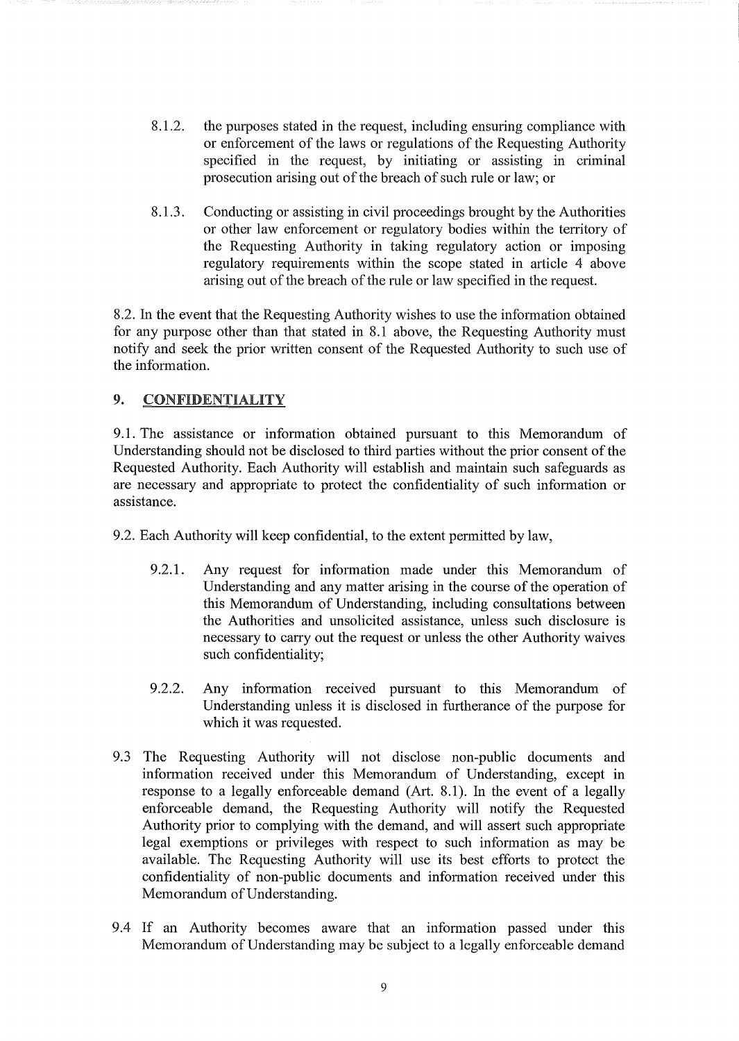- 8.1.2. the purposes stated in the request, including ensuring compliance with or enforcement of the laws or regulations of the Requesting Authority specified in the request, by initiating or assisting in criminal prosecution arising out of the breach of such rule or law; or
- 8.1.3. Conducting or assisting in civil proceedings brought by the Authorities or other law enforcement or regulatory bodies within the territory of the Requesting Authority in taking regulatory action or imposing regulatory requirements within the scope stated in article 4 above arising out of the breach of the rule or law specified in the request.

8.2. In the event that the Requesting Authority wishes to use the information obtained for any purpose other than that stated in 8.1 above, the Requesting Authority must notify and seek the prior written consent of the Requested Authority to such use of the information.

# 9. CONFIDENTIALITY

9.1. The assistance or information obtained pursuant to this Memorandum of Understanding should not be disclosed to third parties without the prior consent of the Requested Authority. Each Authority will establish and maintain such safeguards as are necessary and appropriate to protect the confidentiality of such information or assistance.

9.2. Each Authority will keep confidential, to the extent permitted by law,

- 9.2.1. Any request for information made under this Memorandum of Understanding and any matter arising in the course of the operation of this Memorandum of Understanding, including consultations between the Authorities and unsolicited assistance, unless such disclosure is necessary to carry out the request or unless the other Authority waives such confidentiality;
- 9.2.2. Any information received pursuant to this Memorandum of Understanding unless it is disclosed in furtherance of the purpose for which it was requested.
- 9.3 The Requesting Authority will not disclose non-public documents and information received under this Memorandum of Understanding, except in response to a legally enforceable demand (Art. 8.1). In the event of a legally enforceable demand, the Requesting Authority will notify the Requested Authority prior to complying with the demand, and will assert such appropriate legal exemptions or privileges with respect to such information as may be available. The Requesting Authority will use its best efforts to protect the confidentiality of non-public documents and information received under this Memorandum of Understanding.
- 9.4 If an Authority becomes aware that an information passed under this Memorandum of Understanding may be subject to a legally enforceable demand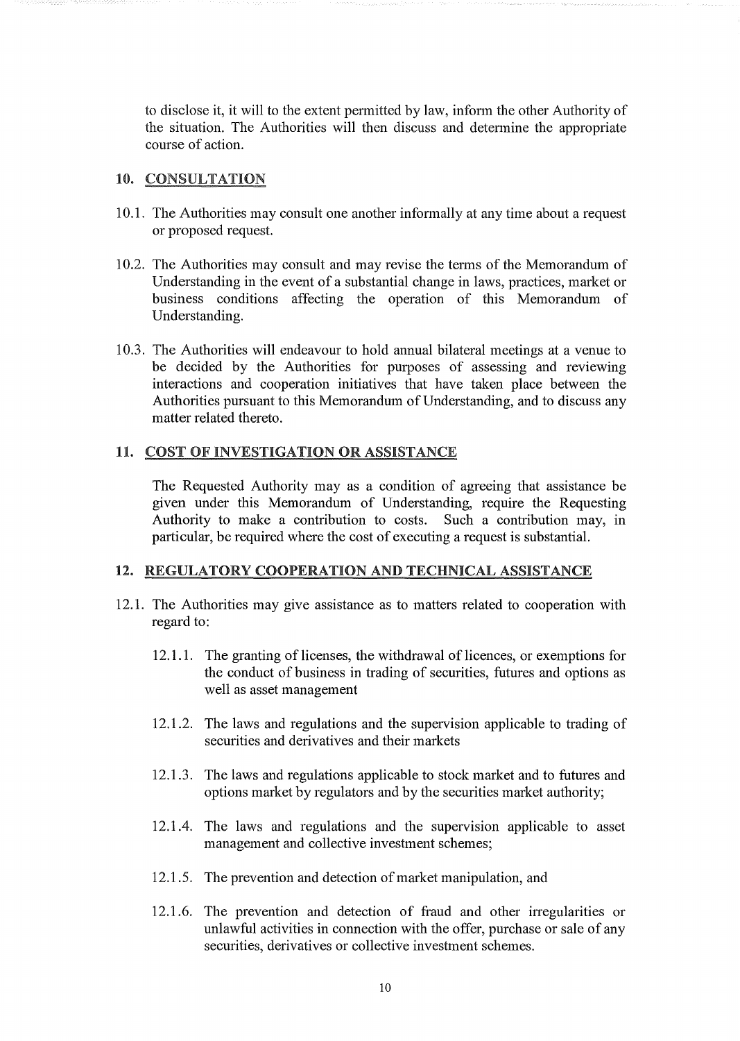to disclose it, it will to the extent permitted by law, inform the other Authority of the situation. The Authorities will then discuss and determine the appropriate course of action.

#### 10. CONSULTATION

- 10.1. The Authorities may consult one another informally at any time about a request or proposed request.
- 10.2. The Authorities may consult and may revise the terms of the Memorandum of Understanding in the event of a substantial change in laws, practices, market or business conditions affecting the operation of this Memorandum of Understanding.
- 10.3. The Authorities will endeavour to hold annual bilateral meetings at a venue to be decided by the Authorities for purposes of assessing and reviewing interactions and cooperation initiatives that have taken place between the Authorities pursuant to this Memorandum of Understanding, and to discuss any matter related thereto.

### 11. COST OF INVESTIGATION OR ASSISTANCE

The Requested Authority mayas a condition of agreeing that assistance be given under this Memorandum of Understanding, require the Requesting Authority to make a contribution to costs. Such a contribution may, in particular, be required where the cost of executing a request is substantial.

#### 12. REGULATORY COOPERATION AND TECHNICAL ASSISTANCE

- 12.1. The Authorities may give assistance as to matters related to cooperation with regard to:
	- 12.1.1. The granting of licenses, the withdrawal of licences, or exemptions for the conduct of business in trading of securities, futures and options as well as asset management
	- 12.1.2. The laws and regulations and the supervision applicable to trading of securities and derivatives and their markets
	- 12.1.3. The laws and regulations applicable to stock market and to futures and options market by regulators and by the securities market authority;
	- 12.1.4. The laws and regulations and the supervision applicable to asset management and collective investment schemes;
	- 12.1.5. The prevention and detection of market manipulation, and
	- 12.1.6. The prevention and detection of fraud and other irregularities or unlawful activities in connection with the offer, purchase or sale of any securities, derivatives or collective investment schemes.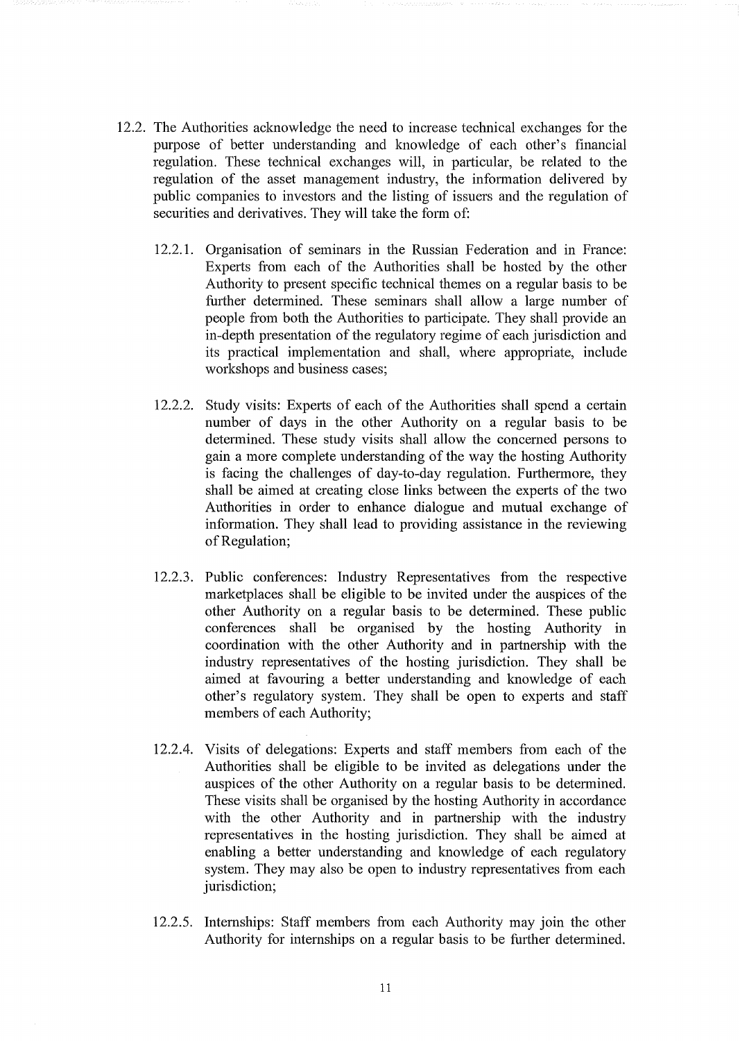- 12.2. The Authorities acknowledge the need to increase technical exchanges for the purpose of better understanding and knowledge of each other's financial regulation. These technical exchanges will, in particular, be related to the regulation of the asset management industry, the information delivered by public companies to investors and the listing of issuers and the regulation of securities and derivatives. They will take the form of:
	- 12.2.1. Organisation of seminars in the Russian Federation and in France: Experts from each of the Authorities shall be hosted by the other Authority to present specific technical themes on a regular basis to be further determined. These seminars shall allow a large number of people from both the Authorities to participate. They shall provide an in-depth presentation of the regulatory regime of each jurisdiction and its practical implementation and shall, where appropriate, include workshops and business cases;
	- 12.2.2. Study visits: Experts of each of the Authorities shall spend a certain number of days in the other Authority on a regular basis to be determined. These study visits shall allow the concerned persons to gain a more complete understanding of the way the hosting Authority is facing the challenges of day-to-day regulation. Furthermore, they shall be aimed at creating close links between the experts of the two Authorities in order to enhance dialogue and mutual exchange of information. They shall lead to providing assistance in the reviewing of Regulation;
	- 12.2.3. Public conferences: Industry Representatives from the respective marketplaces shall be eligible to be invited under the auspices of the other Authority on a regular basis to be detennined. These public conferences shall be organised by the hosting Authority in coordination with the other Authority and in partnership with the industry representatives of the hosting jurisdiction. They shall be aimed at favouring a better understanding and knowledge of each other's regulatory system. They shall be open to experts and staff members of each Authority;
	- 12.2.4. Visits of delegations: Experts and staff members from each of the Authorities shall be eligible to be invited as delegations under the auspices of the other Authority on a regular basis to be determined. These visits shall be organised by the hosting Authority in accordance with the other Authority and in partnership with the industry representatives in the hosting jurisdiction. They shall be aimed at enabling a better understanding and knowledge of each regulatory system. They may also be open to industry representatives from each jurisdiction;
	- 12.2.5. Internships: Staff members from each Authority may join the other Authority for internships on a regular basis to be further detennined.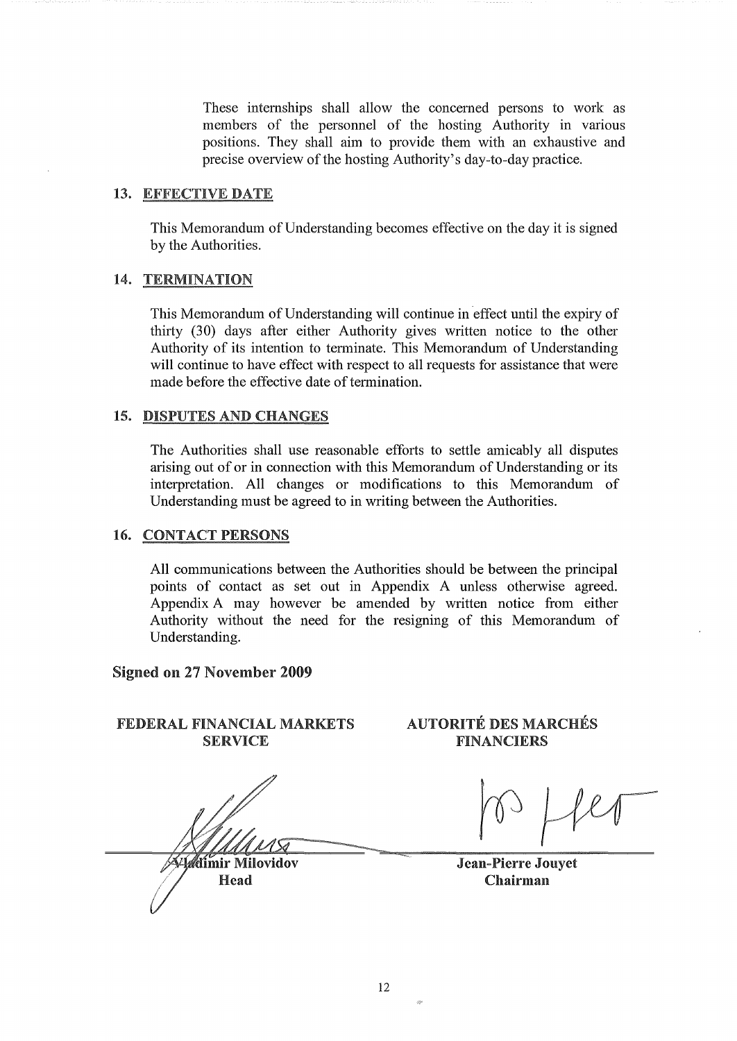These internships shall allow the concerned persons to work as members of the personnel of the hosting Authority in various positions. They shall aim to provide them with an exhaustive and precise overview of the hosting Authority's day-to-day practice.

#### 13. EFFECTIVE DATE

This Memorandum of Understanding becomes effective on the day it is signed by the Authorities.

### 14. TERMINATION

This Memorandum of Understanding will continue in 'effect until the expiry of thirty (30) days after either Authority gives written notice to the other Authority of its intention to terminate, This Memorandum of Understanding will continue to have effect with respect to all requests for assistance that were made before the effective date of termination.

#### 15. DISPUTES AND CHANGES

The Authorities shall use reasonable efforts to settle amicably all disputes arising out of or in connection with this Memorandum of Understanding or its interpretation. All changes or modifications to this Memorandum of Understanding must be agreed to in writing between the Authorities.

### 16. CONTACT PERSONS

All communications between the Authorities should be between the principal points of contact as set out in Appendix A unless otherwise agreed. Appendix A may however be amended by written notice from either Authority without the need for the resigning of this Memorandum of Understanding.

#### Signed on 27 November 2009

### FEDERAL FINANCIAL MARKETS SERVICE

**Adimir Milovidov** Head

### AUTORITÉ DES MARCHÉS FINANCIERS

Jean-Pierre Jouyet Chairman